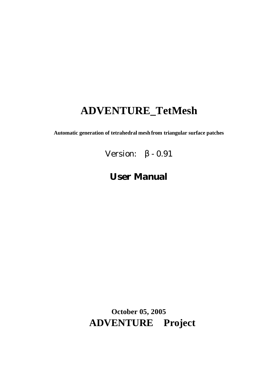# **ADVENTURE\_TetMesh**

**Automatic generation of tetrahedral mesh from triangular surface patches**

Version:  $β - 0.91$ 

# **User Manual**

**October 05, 2005 ADVENTURE Project**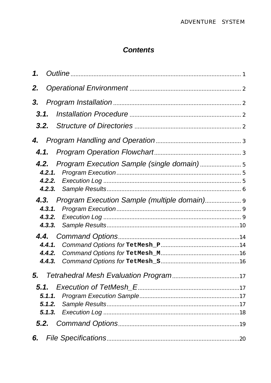## **Contents**

| 1.                                                     |  |
|--------------------------------------------------------|--|
| 2.                                                     |  |
| 3.                                                     |  |
| 3.1.                                                   |  |
| 3.2.                                                   |  |
|                                                        |  |
|                                                        |  |
| <b>4.2.</b> Program Execution Sample (single domain)   |  |
| <b>4.3.</b> Program Execution Sample (multiple domain) |  |
| 4.4.1.<br>4.4.2.<br>4.4.3.                             |  |
|                                                        |  |
|                                                        |  |
|                                                        |  |
| 6.                                                     |  |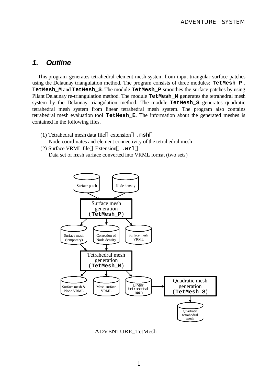### *1. Outline*

This program generates tetrahedral element mesh system from input triangular surface patches using the Delaunay triangulation method. The program consists of three modules: **TetMesh\_P** , **TetMesh\_M** and **TetMesh\_S**. The module **TetMesh\_P** smoothes the surface patches by using Pliant Delaunay re-triangulation method. The module **TetMesh\_M** generates the tetrahedral mesh system by the Delaunay triangulation method. The module **TetMesh\_S** generates quadratic tetrahedral mesh system from linear tetrahedral mesh system. The program also contains tetrahedral mesh evaluation tool **TetMesh\_E**. The information about the generated meshes is contained in the following files.

- (1) Tetrahedral mesh data file extension .**msh** Node coordinates and element connectivity of the tetrahedral mesh
- (2) Surface VRML file Extension .**wrl** Data set of mesh surface converted into VRML format (two sets)



ADVENTURE\_TetMesh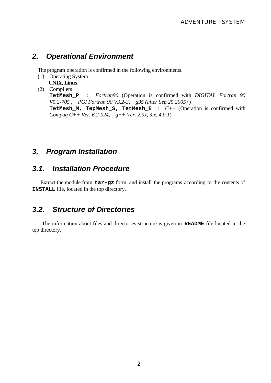### *2. Operational Environment*

The program operation is confirmed in the following environments.

- (1) Operating System  **UNIX, Linux**
- (2) Compilers **TetMesh\_P** : *Fortran90* (Operation is confirmed with *DIGITAL Fortran 90 V5.2-705 , PGI Fortran 90 V3.2-3, g95 (after Sep 25 2005)* ) **TetMesh\_M, TepMesh\_S, TetMesh\_E** : *C++* (Operation is confirmed with *Compaq C++ Ver. 6.2-024, g++ Ver. 2.9x, 3.x, 4.0.1*)

### *3. Program Installation*

## *3.1. Installation Procedure*

Extract the module from **tar+gz** form, and install the programs according to the contents of **INSTALL** file, located in the top directory.

### *3.2. Structure of Directories*

The information about files and directories structure is given in **README** file located in the top directory.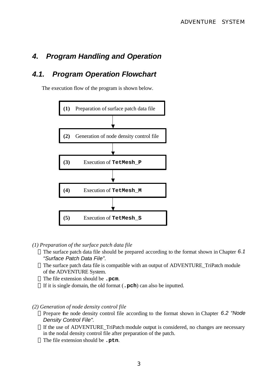## *4. Program Handling and Operation*

## *4.1. Program Operation Flowchart*

The execution flow of the program is shown below.



*(1) Preparation of the surface patch data file*

The surface patch data file should be prepared according to the format shown in Chapter *6.1 "Surface Patch Data File".*

The surface patch data file is compatible with an output of ADVENTURE\_TriPatch module of the ADVENTURE System.

The file extension should be **.pcm**.

If it is single domain, the old format (**.pch**) can also be inputted.

*(2) Generation of node density control file*

Prepare the node density control file according to the format shown in Chapter *6.2 "Node Density Control File".*

If the use of ADVENTURE\_TriPatch module output is considered, no changes are necessary in the nodal density control file after preparation of the patch. The file extension should be **.ptn**.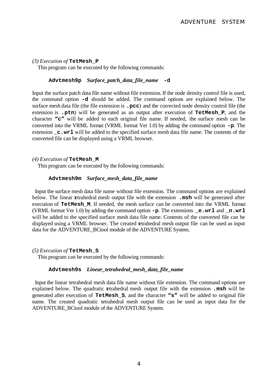#### *(3) Execution of* **TetMesh\_P**

This program can be executed by the following commands:

#### **Advtmesh9p** *Surface\_patch\_data\_file\_name* **-d**

Input the surface patch data file name without file extension. If the node density control file is used, the command option **-d** should be added. The command options are explained below. The surface mesh data file (the file extension is **.pcc**) and the corrected node density control file (the extension is **.ptn**) will be generated as an output after execution of **TetMesh\_P**, and the character **"c"** will be added to each original file name. If needed, the surface mesh can be converted into the VRML format (VRML format Ver 1.0) by adding the command option **-p**. The extension **c**.wrl will be added to the specified surface mesh data file name. The contents of the converted file can be displayed using a VRML browser.

#### *(4) Execution of* **TetMesh\_M**

This program can be executed by the following commands:

#### **Advtmesh9m** *Surface\_mesh\_data\_file\_name*

 Input the surface mesh data file name without file extension. The command options are explained below. The linear tetrahedral mesh output file with the extension **.msh** will be generated after execution of **TetMesh\_M**. If needed, the mesh surface can be converted into the VRML format (VRML format Ver 1.0) by adding the command option **-p**. The extensions **\_e.wrl** and **\_n.wrl** will be added to the specified surface mesh data file name. Contents of the converted file can be displayed using a VRML browser. The created tetrahedral mesh output file can be used as input data for the ADVENTURE\_BCtool module of the ADVENTURE System.

#### *(5) Execution of* **TetMesh\_S**

This program can be executed by the following commands:

#### **Advtmesh9s** *Linear\_tetrahedral\_mesh\_data\_file\_name*

 Input the linear tetrahedral mesh data file name without file extension. The command options are explained below. The quadratic tetrahedral mesh output file with the extension **.msh** will be generated after execution of **TetMesh\_S**, and the character **"s"** will be added to original file name. The created quadratic tetrahedral mesh output file can be used as input data for the ADVENTURE\_BCtool module of the ADVENTURE System.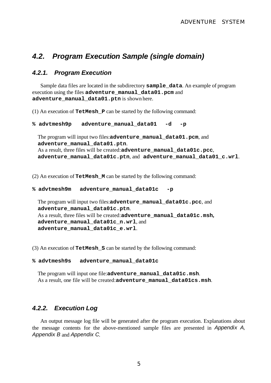## *4.2. Program Execution Sample (single domain)*

### *4.2.1. Program Execution*

Sample data files are located in the subdirectory **sample\_data**. An example of program execution using the files **adventure\_manual\_data01.pcm** and **adventure\_manual\_data01.ptn** is shown here.

(1) An execution of **TetMesh\_P** can be started by the following command:

```
% advtmesh9p adventure_manual_data01 -d -p
```
The program will input two files:**adventure\_manual\_data01.pcm**, and **adventure\_manual\_data01.ptn**. As a result, three files will be created:**adventure\_manual\_data01c.pcc**, **adventure\_manual\_data01c.ptn**, and **adventure\_manual\_data01\_c.wrl**.

(2) An execution of **TetMesh\_M** can be started by the following command:

```
% advtmesh9m adventure_manual_data01c -p
```
The program will input two files:**adventure\_manual\_data01c.pcc**, and **adventure\_manual\_data01c.ptn**. As a result, three files will be created:**adventure\_manual\_data01c.msh, adventure\_manual\_data01c\_n.wrl**, and **adventure\_manual\_data01c\_e.wrl**.

(3) An execution of **TetMesh\_S** can be started by the following command:

#### **% advtmesh9s adventure\_manual\_data01c**

The program will input one file:**adventure\_manual\_data01c.msh**. As a result, one file will be created:**adventure\_manual\_data01cs.msh**.

### *4.2.2. Execution Log*

An output message log file will be generated after the program execution. Explanations about the message contents for the above-mentioned sample files are presented in *Appendix A, Appendix B* and *Appendix C*.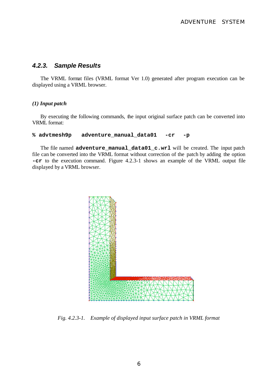#### *4.2.3. Sample Results*

The VRML format files (VRML format Ver 1.0) generated after program execution can be displayed using a VRML browser.

#### *(1) Input patch*

By executing the following commands, the input original surface patch can be converted into VRML format:

#### **% advtmesh9p adventure\_manual\_data01 -cr -p**

The file named **adventure\_manual\_data01\_c.wrl** will be created. The input patch file can be converted into the VRML format without correction of the patch by adding the option **-cr** to the execution command. Figure 4.2.3-1 shows an example of the VRML output file displayed by a VRML browser.



*Fig. 4.2.3-1. Example of displayed input surface patch in VRML format*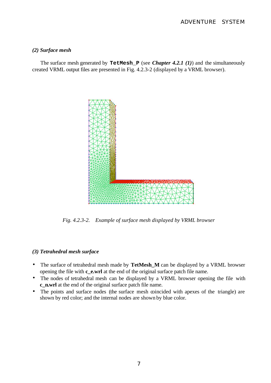#### *(2) Surface mesh*

The surface mesh generated by **TetMesh\_P** (see *Chapter 4.2.1 (1)*) and the simultaneously created VRML output files are presented in Fig. 4.2.3-2 (displayed by a VRML browser).



*Fig. 4.2.3-2. Example of surface mesh displayed by VRML browser*

#### *(3) Tetrahedral mesh surface*

- The surface of tetrahedral mesh made by **TetMesh\_M** can be displayed by a VRML browser opening the file with **c** e.wrl at the end of the original surface patch file name.
- The nodes of tetrahedral mesh can be displayed by a VRML browser opening the file with **c\_n.wrl** at the end of the original surface patch file name.
- The points and surface nodes (the surface mesh coincided with apexes of the triangle) are shown by red color; and the internal nodes are shown by blue color.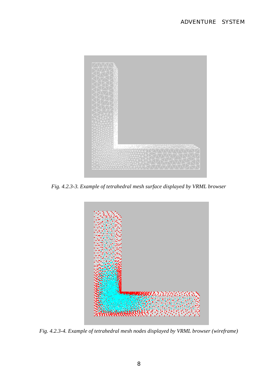

*Fig. 4.2.3-3. Example of tetrahedral mesh surface displayed by VRML browser*



*Fig. 4.2.3-4. Example of tetrahedral mesh nodes displayed by VRML browser (wireframe)*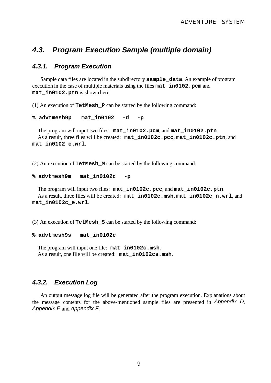### *4.3. Program Execution Sample (multiple domain)*

### *4.3.1. Program Execution*

Sample data files are located in the subdirectory **sample\_data**. An example of program execution in the case of multiple materials using the files **mat\_in0102.pcm** and **mat\_in0102.ptn** is shown here.

(1) An execution of **TetMesh\_P** can be started by the following command:

```
% advtmesh9p mat_in0102 -d -p
```
The program will input two files: **mat\_in0102.pcm**, and **mat\_in0102.ptn**. As a result, three files will be created: **mat\_in0102c.pcc**, **mat\_in0102c.ptn**, and **mat\_in0102\_c.wrl**.

(2) An execution of **TetMesh\_M** can be started by the following command:

```
% advtmesh9m mat_in0102c -p
```
The program will input two files: **mat\_in0102c.pcc**, and **mat\_in0102c.ptn**. As a result, three files will be created: **mat\_in0102c.msh, mat\_in0102c\_n.wrl**, and **mat\_in0102c\_e.wrl**.

(3) An execution of **TetMesh\_S** can be started by the following command:

#### **% advtmesh9s mat\_in0102c**

The program will input one file: **mat\_in0102c.msh**. As a result, one file will be created: **mat\_in0102cs.msh**.

### *4.3.2. Execution Log*

An output message log file will be generated after the program execution. Explanations about the message contents for the above-mentioned sample files are presented in *Appendix D, Appendix E* and *Appendix F*.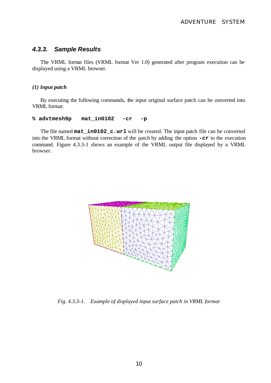## *4.3.3. Sample Results*

The VRML format files (VRML format Ver 1.0) generated after program execution can be displayed using a VRML browser.

#### *(1) Input patch*

By executing the following commands, the input original surface patch can be converted into VRML format:

#### **% advtmesh9p mat\_in0102 -cr -p**

The file named **mat\_in0102\_c.wrl** will be created. The input patch file can be converted into the VRML format without correction of the patch by adding the option **-cr** to the execution command. Figure 4.3.3-1 shows an example of the VRML output file displayed by a VRML browser.



*Fig. 4.3.3-1. Example of displayed input surface patch in VRML format*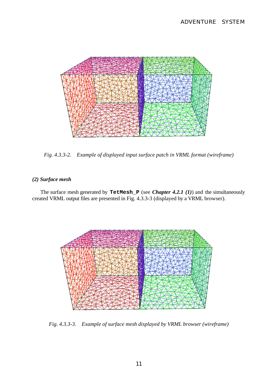

*Fig. 4.3.3-2. Example of displayed input surface patch in VRML format (wireframe)*

#### *(2) Surface mesh*

The surface mesh generated by **TetMesh\_P** (see *Chapter 4.2.1 (1)*) and the simultaneously created VRML output files are presented in Fig. 4.3.3-3 (displayed by a VRML browser).



*Fig. 4.3.3-3. Example of surface mesh displayed by VRML browser (wireframe)*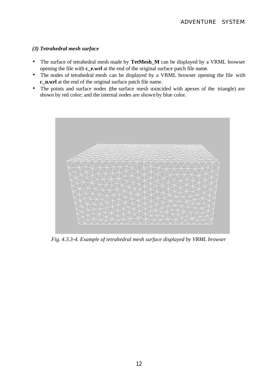#### *(3) Tetrahedral mesh surface*

- The surface of tetrahedral mesh made by **TetMesh\_M** can be displayed by a VRML browser opening the file with **c\_e.wrl** at the end of the original surface patch file name.
- The nodes of tetrahedral mesh can be displayed by a VRML browser opening the file with **c\_n.wrl** at the end of the original surface patch file name.
- The points and surface nodes (the surface mesh coincided with apexes of the triangle) are shown by red color; and the internal nodes are shown by blue color.



*Fig. 4.3.3-4. Example of tetrahedral mesh surface displayed by VRML browser*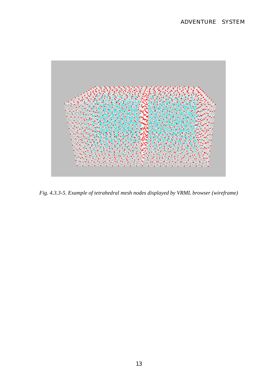

*Fig. 4.3.3-5. Example of tetrahedral mesh nodes displayed by VRML browser (wireframe)*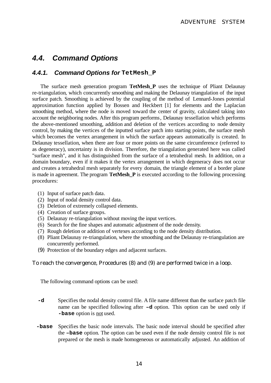## *4.4. Command Options*

### *4.4.1. Command Options for* **TetMesh\_P**

The surface mesh generation program **TetMesh\_P** uses the technique of Pliant Delaunay re-triangulation, which concurrently smoothing and making the Delaunay triangulation of the input surface patch. Smoothing is achieved by the coupling of the method of Lennard-Jones potential approximation function applied by Bossen and Heckbert [1] for elements and the Laplacian smoothing method, where the node is moved toward the center of gravity, calculated taking into account the neighboring nodes. After this program performs, Delaunay tessellation which performs the above-mentioned smoothing, addition and deletion of the vertices according to node density control, by making the vertices of the inputted surface patch into starting points, the surface mesh which becomes the vertex arrangement in which the surface appears automatically is created. In Delaunay tessellation, when there are four or more points on the same circumference (referred to as degeneracy), uncertainty is in division. Therefore, the triangulation generated here was called "surface mesh", and it has distinguished from the surface of a tetrahedral mesh. In addition, on a domain boundary, even if it makes it the vertex arrangement in which degeneracy does not occur and creates a tetrahedral mesh separately for every domain, the triangle element of a border plane is made in agreement. The program **TetMesh\_P** is executed according to the following processing procedures:

- (1) Input of surface patch data.
- (2) Input of nodal density control data.
- (3) Deletion of extremely collapsed elements.
- (4) Creation of surface groups.
- (5) Delaunay re-triangulation without moving the input vertices.
- (6) Search for the fine shapes and automatic adjustment of the node density.
- (7) Rough deletion or addition of vertexes according to the node density distribution.
- (8) Pliant Delaunay re-triangulation, where the smoothing and the Delaunay re-triangulation are concurrently performed.
- (9) Protection of the boundary edges and adjacent surfaces.

#### To reach the convergence, Procedures (8) and (9) are performed twice in a loop.

The following command options can be used:

- **-d** Specifies the nodal density control file. A file name different than the surface patch file name can be specified following after **–d** option. This option can be used only if **-base** option is not used.
- **-base** Specifies the basic node intervals. The basic node interval should be specified after the **–base** option. The option can be used even if the node density control file is not prepared or the mesh is made homogeneous or automatically adjusted. An addition of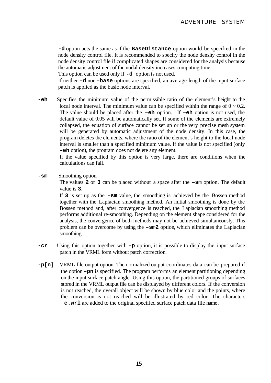**-d** option acts the same as if the **BaseDistance** option would be specified in the node density control file. It is recommended to specify the node density control in the node density control file if complicated shapes are considered for the analysis because the automatic adjustment of the nodal density increases computing time.

This option can be used only if **-d** option is not used.

If neither **–d** nor **–base** options are specified, an average length of the input surface patch is applied as the basic node interval.

 **-eh** Specifies the minimum value of the permissible ratio of the element's height to the local node interval. The minimum value can be specified within the range of  $0 \sim 0.2$ . The value should be placed after the **–eh** option. If **–eh** option is not used, the default value of 0.05 will be automatically set. If some of the elements are extremely collapsed, the equation of surface cannot be set up or the very precise mesh system will be generated by automatic adjustment of the node density. In this case, the program deletes the elements, where the ratio of the element's height to the local node interval is smaller than a specified minimum value. If the value is not specified (only **–eh** option), the program does not delete any element.

> If the value specified by this option is very large, there are conditions when the calculations can fail.

**-sm** Smoothing option.

The values **2** or **3** can be placed without a space after the **–sm** option. The default value is **3**.

If **3** is set up as the **–sm** value, the smoothing is achieved by the Bossen method together with the Laplacian smoothing method. An initial smoothing is done by the Bossen method and, after convergence is reached, the Laplacian smoothing method performs additional re-smoothing. Depending on the element shape considered for the analysis, the convergence of both methods may not be achieved simultaneously. This problem can be overcome by using the **–sm2** option, which eliminates the Laplacian smoothing.

- **-cr** Using this option together with **–p** option, it is possible to display the input surface patch in the VRML form without patch correction.
- **-p[n]** VRML file output option. The normalized output coordinates data can be prepared if the option **–pn** is specified. The program performs an element partitioning depending on the input surface patch angle. Using this option, the partitioned groups of surfaces stored in the VRML output file can be displayed by different colors. If the conversion is not reached, the overall object will be shown by blue color and the points, where the conversion is not reached will be illustrated by red color. The characters **\_c.wrl** are added to the original specified surface patch data file name.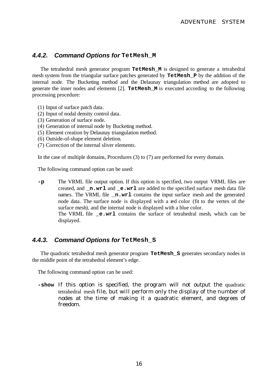### *4.4.2. Command Options for* **TetMesh\_M**

The tetrahedral mesh generator program **TetMesh\_M** is designed to generate a tetrahedral mesh system from the triangular surface patches generated by **TetMesh\_P** by the addition of the internal node. The Bucketing method and the Delaunay triangulation method are adopted to generate the inner nodes and elements [2]. **TetMesh\_M** is executed according to the following processing procedure:

- (1) Input of surface patch data.
- (2) Input of nodal density control data.
- (3) Generation of surface node.
- (4) Generation of internal node by Bucketing method.
- (5) Element creation by Delaunay triangulation method.
- (6) Outside-of-shape element deletion.
- (7) Correction of the internal sliver elements.

In the case of multiple domains, Procedures (3) to (7) are performed for every domain.

The following command option can be used:

 **-p** The VRML file output option. If this option is specified, two output VRML files are created, and **\_n.wrl** and **\_e.wrl** are added to the specified surface mesh data file names. The VRML file **\_n.wrl** contains the input surface mesh and the generated node data. The surface node is displayed with a red color (fit to the vertex of the surface mesh), and the internal node is displayed with a blue color. The VRML file **e.wrl** contains the surface of tetrahedral mesh, which can be displayed.

### *4.4.3. Command Options for* **TetMesh\_S**

The quadratic tetrahedral mesh generator program **TetMesh\_S** generates secondary nodes in the middle point of the tetrahedral element's edge.

The following command option can be used:

 **-show** If this option is specified, the program will not output the quadratic tetrahedral mesh file, but will perform only the display of the number of nodes at the time of making it a quadratic element, and degrees of freedom.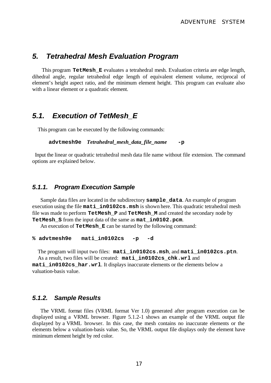### *5. Tetrahedral Mesh Evaluation Program*

This program **TetMesh\_E** evaluates a tetrahedral mesh. Evaluation criteria are edge length, dihedral angle, regular tetrahedral edge length of equivalent element volume, reciprocal of element's height aspect ratio, and the minimum element height. This program can evaluate also with a linear element or a quadratic element.

### *5.1. Execution of TetMesh\_E*

This program can be executed by the following commands:

```
 advtmesh9e Tetrahedral_mesh_data_file_name -p
```
 Input the linear or quadratic tetrahedral mesh data file name without file extension. The command options are explained below.

#### *5.1.1. Program Execution Sample*

Sample data files are located in the subdirectory **sample\_data**. An example of program execution using the file **mati** in0102cs.msh is shown here. This quadratic tetrahedral mesh file was made to perform **TetMesh\_P** and **TetMesh\_M** and created the secondary node by **TetMesh\_S** from the input data of the same as **mat\_in0102.pcm**.

An execution of **TetMesh\_E** can be started by the following command:

**% advtmesh9e mati\_in0102cs -p -d**

The program will input two files: **mati\_in0102cs.msh**, and **mati\_in0102cs.ptn**. As a result, two files will be created: **mati\_in0102cs\_chk.wrl** and **mati** in0102cs har.wrl. It displays inaccurate elements or the elements below a valuation-basis value.

#### *5.1.2. Sample Results*

The VRML format files (VRML format Ver 1.0) generated after program execution can be displayed using a VRML browser. Figure 5.1.2-1 shows an example of the VRML output file displayed by a VRML browser. In this case, the mesh contains no inaccurate elements or the elements below a valuation-basis value. So, the VRML output file displays only the element have minimum element height by red color.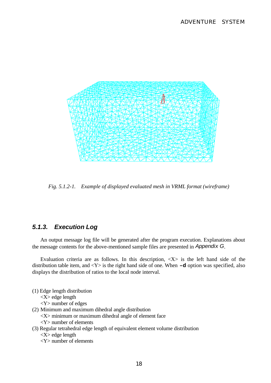

*Fig. 5.1.2-1. Example of displayed evaluated mesh in VRML format (wireframe)*

### *5.1.3. Execution Log*

An output message log file will be generated after the program execution. Explanations about the message contents for the above-mentioned sample files are presented in *Appendix G*.

Evaluation criteria are as follows. In this description,  $\langle X \rangle$  is the left hand side of the distribution table item, and <Y> is the right hand side of one. When **–d** option was specified, also displays the distribution of ratios to the local node interval.

- (1) Edge length distribution
	- <X> edge length
	- <Y> number of edges
- (2) Minimum and maximum dihedral angle distribution
	- $<$ X $>$  minimum or maximum dihedral angle of element face
	- <Y> number of elements
- (3) Regular tetrahedral edge length of equivalent element volume distribution
	- <X> edge length
	- <Y> number of elements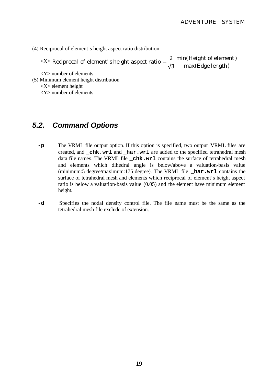(4) Reciprocal of element's height aspect ratio distribution

 $\langle X \rangle$ max(Edge length) min(Height of element) 3 Reciprocal of element' s height aspect ratio =  $\frac{2}{\sqrt{2}}$ 

<Y> number of elements

(5) Minimum element height distribution

<Y> number of elements

## *5.2. Command Options*

- **-p** The VRML file output option. If this option is specified, two output VRML files are created, and **\_chk.wrl** and **\_har.wrl** are added to the specified tetrahedral mesh data file names. The VRML file **\_chk.wrl** contains the surface of tetrahedral mesh and elements which dihedral angle is below/above a valuation-basis value (minimum:5 degree/maximum:175 degree). The VRML file **\_har.wrl** contains the surface of tetrahedral mesh and elements which reciprocal of element's height aspect ratio is below a valuation-basis value (0.05) and the element have minimum element height.
- **-d** Specifies the nodal density control file. The file name must be the same as the tetrahedral mesh file exclude of extension.

 <sup>&</sup>lt;X> element height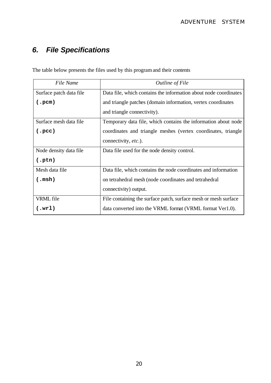# *6. File Specifications*

The table below presents the files used by this program and their contents

| File Name               | Outline of File                                                  |
|-------------------------|------------------------------------------------------------------|
| Surface patch data file | Data file, which contains the information about node coordinates |
| (.pcm)                  | and triangle patches (domain information, vertex coordinates     |
|                         | and triangle connectivity).                                      |
| Surface mesh data file  | Temporary data file, which contains the information about node   |
| (.pec)                  | coordinates and triangle meshes (vertex coordinates, triangle    |
|                         | connectivity, etc.).                                             |
| Node density data file  | Data file used for the node density control.                     |
| (.ptn)                  |                                                                  |
| Mesh data file          | Data file, which contains the node coordinates and information   |
| $(\cdot \text{msh})$    | on tetrahedral mesh (node coordinates and tetrahedral            |
|                         | connectivity) output.                                            |
| VRML file               | File containing the surface patch, surface mesh or mesh surface  |
| $(\cdot \text{wrl})$    | data converted into the VRML format (VRML format Ver1.0).        |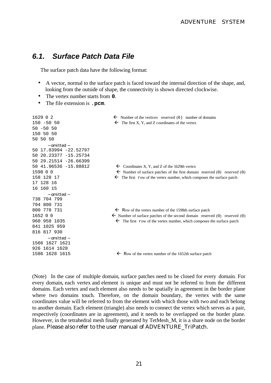### *6.1. Surface Patch Data File*

The surface patch data have the following format:

- A vector, normal to the surface patch is faced toward the internal direction of the shape, and, looking from the outside of shape, the connectivity is shown directed clockwise.
- The vertex number starts from **0**.
- The file extension is .**pcm**.

| $150 - 5050$<br>$\leftarrow$ The first X, Y, and Z coordinates of the vertex<br>$50 - 50 50$       |  |
|----------------------------------------------------------------------------------------------------|--|
|                                                                                                    |  |
|                                                                                                    |  |
| 150 50 50                                                                                          |  |
| 50 50 50                                                                                           |  |
| $\sim$ omitted $\sim$                                                                              |  |
| 50 17.03994 -22.52797                                                                              |  |
| 50 20.23377 -15.25734                                                                              |  |
| 50 29.21514 -26.66399                                                                              |  |
| 50 41.96536 -15.88812<br>$\leftarrow$ Coordinates X, Y, and Z of the 1629th vertex                 |  |
| 1598 0 0<br>$\leftarrow$ Number of surface patches of the first domain reserved (0) reserved (0)   |  |
| 158 128 17<br>The first row of the vertex number, which composes the surface patch<br>$\leftarrow$ |  |
| 17 128 16                                                                                          |  |
| 16 160 15                                                                                          |  |
| $\sim$ omitted $\sim$                                                                              |  |
| 738 704 799                                                                                        |  |
| 794 800 731                                                                                        |  |
| 800 778 731<br>$\leftarrow$ Row of the vertex number of the 1598th surface patch                   |  |
| 1652 0 0<br>$\leftarrow$ Number of surface patches of the second domain reserved (0) reserved (0)  |  |
| $\leftarrow$ The first row of the vertex number, which composes the surface patch<br>960 958 1035  |  |
| 841 1025 959                                                                                       |  |
| 816 817 930                                                                                        |  |
| $\sim$ omitted $\sim$                                                                              |  |
| 1566 1627 1621                                                                                     |  |
| 926 1614 1628                                                                                      |  |
| 1586 1628 1615<br>$\leftarrow$ Row of the vertex number of the 1652th surface patch                |  |

(Note) In the case of multiple domain, surface patches need to be closed for every domain. For every domain, each vertex and element is unique and must not be referred to from the different domains. Each vertex and each element also needs to be spatially in agreement in the border plane where two domains touch. Therefore, on the domain boundary, the vertex with the same coordinates value will be referred to from the element with which those with two and each belong to another domain. Each element (triangle) also needs to connect the vertex which serves as a pair, respectively (coordinates are in agreement), and it needs to be overlapped on the border plane. However, in the tetrahedral mesh finally generated by TetMesh\_M, it is a share node on the border plane. Please also refer to the user manual of ADVENTURE\_TriPatch.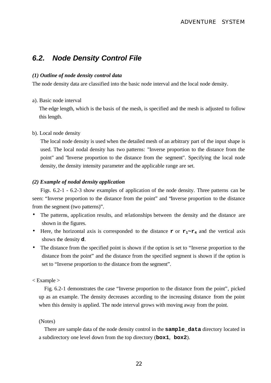## *6.2. Node Density Control File*

#### *(1) Outline of node density control data*

The node density data are classified into the basic node interval and the local node density.

#### a). Basic node interval

The edge length, which is the basis of the mesh, is specified and the mesh is adjusted to follow this length.

#### b). Local node density

The local node density is used when the detailed mesh of an arbitrary part of the input shape is used. The local nodal density has two patterns: "Inverse proportion to the distance from the point" and "Inverse proportion to the distance from the segment". Specifying the local node density, the density intensity parameter and the applicable range are set.

#### *(2) Example of nodal density application*

Figs. 6.2-1 - 6.2-3 show examples of application of the node density. Three patterns can be seen: "Inverse proportion to the distance from the point" and "Inverse proportion to the distance from the segment (two patterns)".

- The patterns, application results, and relationships between the density and the distance are shown in the figures.
- Here, the horizontal axis is corresponded to the distance **r** or  $\mathbf{r}_1 \sim \mathbf{r}_4$  and the vertical axis shows the density **d**.
- The distance from the specified point is shown if the option is set to "Inverse proportion to the distance from the point" and the distance from the specified segment is shown if the option is set to "Inverse proportion to the distance from the segment".

#### < Example >

 Fig. 6.2-1 demonstrates the case "Inverse proportion to the distance from the point", picked up as an example. The density decreases according to the increasing distance from the point when this density is applied. The node interval grows with moving away from the point.

#### (Notes)

There are sample data of the node density control in the **sample\_data** directory located in a subdirectory one level down from the top directory (**box1**, **box2**).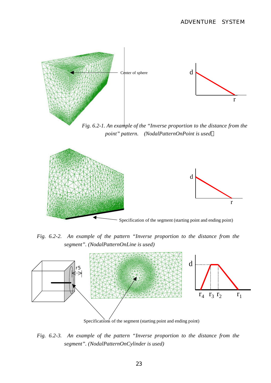

*Fig. 6.2-1. An example of the "Inverse proportion to the distance from the point" pattern. (NodalPatternOnPoint is used*



*Fig. 6.2-2. An example of the pattern "Inverse proportion to the distance from the segment". (NodalPatternOnLine is used)*



*Fig. 6.2-3. An example of the pattern "Inverse proportion to the distance from the segment". (NodalPatternOnCylinder is used)*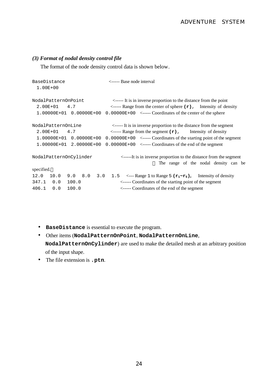#### *(3) Format of nodal density control file*

The format of the node density control data is shown below.

```
BaseDistance <----- Base node interval
  1.00E+00
NodalPatternOnPoint <----- It is in inverse proportion to the distance from the point
  2.00E+01 4.7 <----- Range from the center of sphere (r), Intensity of density
  1.00000E+01 0.00000E+00 0.00000E+00 <----- Coordinates of the center of the sphere
NodalPatternOnLine <----- It is in inverse proportion to the distance from the segment
  2.00E+01 4.7 <----- Range from the segment (r), Intensity of density
  1.00000E+01 0.00000E+00 0.00000E+00 <----- Coordinates of the starting point of the segment
  1.00000E+01 2.00000E+00 0.00000E+00 <----- Coordinates of the end of the segment
NodalPatternOnCylinder <-----It is in inverse proportion to the distance from the segment
                                                    The range of the nodal density can be
specified.
12.0 10.0 9.0 8.0 3.0 1.5 <--- Range 1 to Range 5 (r1~r5), Intensity of density
347.1 0.0 100.0 <----- Coordinates of the starting point of the segment
406.1 0.0 100.0 <----- Coordinates of the end of the segment
```
- **BaseDistance** is essential to execute the program.
- Other items (**NodalPatternOnPoint**, **NodalPatternOnLine**, **NodalPatternOnCylinder**) are used to make the detailed mesh at an arbitrary position of the input shape.
- The file extension is **.ptn**.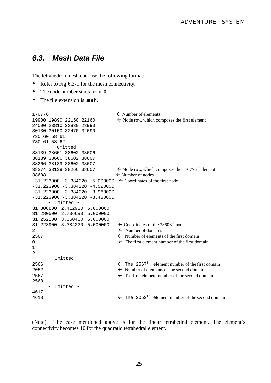### *6.3. Mesh Data File*

The tetrahedron mesh data use the following format:

- Refer to Fig 6.3-1 for the mesh connectivity.
- The node number starts from **0**.
- The file extension is .**msh**.

```
170776 \leftarrow Number of elements
19900 19890 22150 22160 \leftarrow Node row, which composes the first element
24000 23810 23830 23990
30130 30150 32470 32690
730 60 58 61
730 61 58 62
       ~ Omitted ~
38139 38601 38602 38606
38139 38606 38602 38607
38266 38139 38602 38607
38274 38139 38266 38607 \leftarrow Node row, which composes the 170776<sup>th</sup> element
38608 \leftarrow Number of nodes
-31.223900 -3.384220 -5.000000 \leftarrow \text{Coordinates of the first node}-31.223900 -3.384220 -4.520000-31.223900 -3.384220 -3.960000
-31.223900 -3.384220 -3.430000 ~ Omitted ~
31.308800 2.412930 5.000000
31.280500 2.736690 5.000000
31.252200 3.060460 5.000000
31.223900 3.384220 5.000000
                                 \leftarrow Coordinates of the 38608<sup>th</sup> node
2 \leftarrow Number of domains
2567 fluid- \leftarrow Number of elements of the first domain
0 fluid The first element number of the first domain
1
\mathcal{L}\sim Omitted \sim2566 fl The 2567<sup>th</sup> element number of the first domain
2052 for \leftarrow Number of elements of the second domain
2567 for The first element number of the second domain
2568 
     \sim Omitted \sim4617
4618 follow \leftarrow The 2052<sup>th</sup> element number of the second domain
```
(Note) The case mentioned above is for the linear tetrahedral element. The element's connectivity becomes 10 for the quadratic tetrahedral element.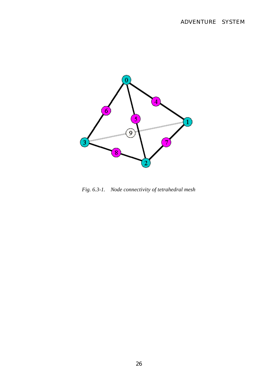

*Fig. 6.3-1. Node connectivity of tetrahedral mesh*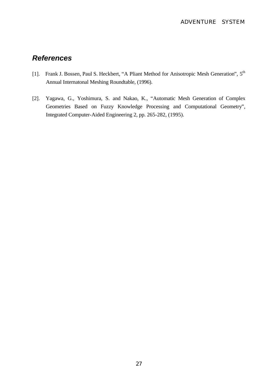## *References*

- [1]. Frank J. Bossen, Paul S. Heckbert, "A Pliant Method for Anisotropic Mesh Generation", 5<sup>th</sup> Annual Internatonal Meshing Roundtable, (1996).
- [2]. Yagawa, G., Yoshimura, S. and Nakao, K., "Automatic Mesh Generation of Complex Geometries Based on Fuzzy Knowledge Processing and Computational Geometry", Integrated Computer-Aided Engineering 2, pp. 265-282, (1995).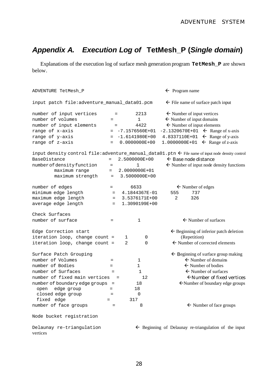# *Appendix A. Execution Log of* **TetMesh\_P (***Single domain***)**

Explanations of the execution log of surface mesh generation program **TetMesh\_P** are shown below.

| ADVENTURE TetMesh_P                          | $\leftarrow$ Program name |                  |   |                                                                                                              |
|----------------------------------------------|---------------------------|------------------|---|--------------------------------------------------------------------------------------------------------------|
| input patch file:adventure_manual_data01.pcm |                           |                  |   | $\leftarrow$ File name of surface patch input                                                                |
| number of input vertices                     | $=$                       | 2213             |   | $\leftarrow$ Number of input vertices                                                                        |
| number of volumes                            | $=$                       | $\mathbf{1}$     |   | $\leftarrow$ Number of input domains                                                                         |
| number of input elements                     | $=$                       | 4422             |   | $\leftarrow$ Number of input elements                                                                        |
| range of x-axis                              | $=$                       | $-7.1576560E+01$ |   | $-2.1320670E+01$ $\leftarrow$ Range of x-axis                                                                |
| range of y-axis                              | $=$                       | $-1.6141980E+00$ |   | $\leftarrow$ Range of y-axis<br>4.8337110E+01                                                                |
| range of z-axis                              | $=$                       | $0.0000000E+00$  |   | 1.0000000E+01 $\leftarrow$ Range of z-axis                                                                   |
|                                              |                           |                  |   | input density control file: adventure_manual_data01.ptn $\leftarrow$ File name of input node density control |
| BaseDistance                                 | $=$                       | 2.5000000E+00    |   | $\leftarrow$ Base node distance                                                                              |
| number of density function                   | $\quad =$                 | 1                |   | $\leftarrow$ Number of input node density functions                                                          |
| maximum range                                | $=$                       | 2.0000000E+01    |   |                                                                                                              |
| maximum strength                             | $=$                       | 3.5000000E+00    |   |                                                                                                              |
| number of edges                              | $=$                       | 6633             |   | $\leftarrow$ Number of edges                                                                                 |
| minimum edge length                          | $=$                       | 4.1844367E-01    |   | 737<br>555                                                                                                   |
| maximum edge length                          | $=$                       | 3.5376171E+00    |   | 326<br>2                                                                                                     |
| average edge length                          | $=$                       | 1.3090199E+00    |   |                                                                                                              |
| Check Surfaces                               |                           |                  |   |                                                                                                              |
| number of surface                            | $=$                       | 1                |   | $\leftarrow$ Number of surfaces                                                                              |
| Edge Correction start                        |                           |                  |   | $\leftarrow$ Beginning of inferior patch deletion                                                            |
| iteration loop, change count =               |                           | 1                | 0 | (Repetition)                                                                                                 |
| iteration loop, change count =               |                           | 2                | 0 | $\leftarrow$ Number of corrected elements                                                                    |
| Surface Patch Grouping                       |                           |                  |   | $\leftarrow$ Beginning of surface group making                                                               |
| number of Volumes                            | $=$                       | $\mathbf 1$      |   | $\leftarrow$ Number of domains                                                                               |
| number of Bodies                             | $=$                       | $\mathbf 1$      |   | $\leftarrow$ Number of bodies                                                                                |
| number of Surfaces                           | $=$                       | $\mathbf{1}$     |   | $\leftarrow$ Number of surfaces                                                                              |
| number of fixed main vertices                | 12<br>$\quad =$           |                  |   | $\leftarrow$ Number of fixed vertices                                                                        |
| number of boundary edge groups               | $=$                       | 18               |   | $\leftarrow$ Number of boundary edge groups                                                                  |
| edge group<br>open                           | $=$                       | 18               |   |                                                                                                              |
| closed edge group                            | $=$                       | 0                |   |                                                                                                              |
| fixed edge                                   | $=$                       | 317              |   |                                                                                                              |
| number of face groups                        | $=$                       | 8                |   | $\leftarrow$ Number of face groups                                                                           |
| Node bucket registration                     |                           |                  |   |                                                                                                              |
| Delaunay re-triangulation                    |                           |                  |   | $\leftarrow$ Beginning of Delaunay re-triangulation of the input                                             |

vertices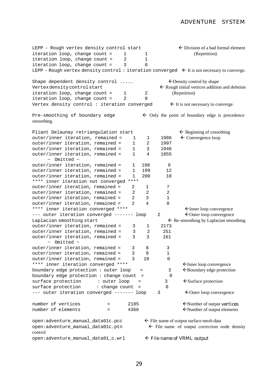#### ADVENTURE SYSTEM

LEPP - Rough vertex density control start  $\leftarrow$  Division of a bad formal element  $iteration$   $loop$ , change count =  $1$   $1$   $1$   $(Repetition)$ iteration loop, change count =  $2$  1 iteration loop, change count = 3 0 LEPP - Rough vertex density control: iteration converged  $\epsilon$  It is not necessary to converge. Shape dependent density control .....  $\leftarrow$  Density control by shape Vertex density control start  $\leftarrow$  Rough initial vertices addition and deletion iteration loop, change count =  $1$  2 (Repetition) iteration loop, change count  $=$  2 0 Vertex density control : iteration converged  $\leftarrow$  It is not necessary to converge. Pre-smoothing of boundary edge  $\leftarrow$  Only the point of boundary edge is precedence smoothing. Pliant Delaunay retriangulation start  $f$  Beginning of smoothing outer/inner iteration, remained = 1 1 1986 fl Convergence loop outer/inner iteration, remained =  $1 \t 2 \t 1997$ outer/inner iteration, remained = 1 3 1946 outer/inner iteration, remained = 1 4 1855 ~ Omitted ~ outer/inner iteration, remained =  $1 \t 198 \t 9$ <br>outer/inner iteration, remained =  $1 \t 199 \t 12$ outer/inner iteration, remained = 1 199 12 outer/inner iteration, remained = 1 200 10 \*\*\*\* inner iteration not converged \*\*\*\*<br>outer/inner iteration, remained = 2 outer/inner iteration, remained =  $2 \t 1 \t 7$ <br>outer/inner iteration, remained =  $2 \t 2 \t 2$  $outer/inner$  iteration, remained =  $2 \t 2 \t 2$  $outer/inner iteration. remained =  $2 \times 3$  1$  $outer/inner iteration, remained = 2 4 0$ \*\*\*\* inner iteration converged \*\*\*\* flInner loop convergence  $---$  outer iteration converged  $------$  loop 2  $\leftarrow$  Outer loop convergence Laplacian smoothing start  $\leftarrow$  Re-smoothing by Laplacian smoothing outer/inner iteration, remained = 3 1 2173 outer/inner iteration, remained = 3 2 251<br>outer/inner iteration, remained = 3 3 161 outer/inner iteration, remained = 3 3 161  $\sim$  Omitted  $\sim$ outer/inner iteration, remained = 3 8 3 outer/inner iteration, remained = 3 9 1 outer/inner iteration, remained = 3 10 0 \*\*\*\* inner iteration converged \*\*\*\* flInner loop convergence boundary edge protection : outer loop =  $\overline{3}$   $\leftarrow$  Boundary edge protection boundary edge protection : change count = 0 surface protection : outer loop =  $\overline{\phantom{a}}$  3  $\overline{\phantom{a}}$  + Surface protection surface protection : change count = 0  $---$  outer iteration converged  $------$  loop 3  $\not\leftarrow$  Outer loop convergence number of vertices  $= 2185$   $\leftarrow$  Number of output vertices number of elements  $= 4366$   $\leftarrow$  Number of output elements open: adventure\_manual\_data01c.pcc  $\leftarrow$  File name of output surface mesh data open:adventure manual data01c.ptn  $\leftarrow$  File name of output correction node density control open:adventure\_manual\_data01\_c.wrl  $\leftarrow$  File name of VRML output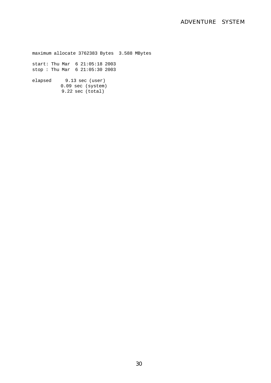### ADVENTURE SYSTEM

maximum allocate 3762383 Bytes 3.588 MBytes start: Thu Mar 6 21:05:18 2003 stop : Thu Mar 6 21:05:30 2003 elapsed 9.13 sec (user) 0.09 sec (system) 9.22 sec (total)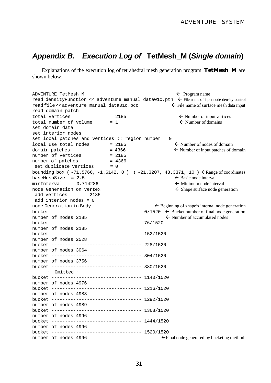## *Appendix B. Execution Log of* **TetMesh\_M (***Single domain***)**

Explanations of the execution log of tetrahedral mesh generation program **TetMesh\_M** are shown below.

ADVENTURE TetMesh  $M$  fl  $\leftarrow$  Program name read densityFunction << adventure manual data01c.ptn  $\epsilon$  File name of input node density control read file  $\leq$  adventure\_manual\_data01c.pcc  $\leq$  File name of surface mesh data input read domain patch total vertices  $= 2185$   $\leftarrow$  Number of input vertices total number of volume  $= 1$   $\leftarrow$  Number of domains set domain data set interior nodes set local patches and vertices :: region number = 0  $local use total nodes = 2185$   $\leftarrow$  Number of nodes of domain domain patches  $= 4366$ <br>  $= 2185$ <br>  $= 2185$ <br>  $= 2185$ number of vertices number of patches = 4366 set duplicate vertices = 0 bounding box (-71.5766, -1.6142, 0) (-21.3207, 48.3371, 10)  $\leftarrow$  Range of coordinates  $baseMeshSize = 2.5$   $\leftarrow$  Basic node interval  $minInterval = 0.714286$   $\leftarrow$  Minimum node interval node Generation on Vertex  $\leftarrow$  Shape surface node generation add vertices  $= 2185$  add interior nodes = 0 node Generation in Body  $\leftarrow$  Beginning of shape's internal node generation bucket  $--------------------- 0/1520 \leftarrow Bucket number of final node generation$ number of nodes 2185  $\leftarrow$  Number of accumulated nodes bucket --------------------------------- 76/1520 number of nodes 2185 bucket --------------------------------- 152/1520 number of nodes 2528 bucket --------------------------------- 228/1520 number of nodes 3064 bucket --------------------------------- 304/1520 number of nodes 3756 bucket --------------------------------- 380/1520  $\sim$  Omitted  $\sim$ bucket --------------------------------- 1140/1520 number of nodes 4976 bucket --------------------------------- 1216/1520 number of nodes 4983 bucket --------------------------------- 1292/1520 number of nodes 4989 bucket --------------------------------- 1368/1520 number of nodes 4996 bucket --------------------------------- 1444/1520 number of nodes 4996 bucket --------------------------------- 1520/1520 number of nodes  $4996$  final node generated by bucketing method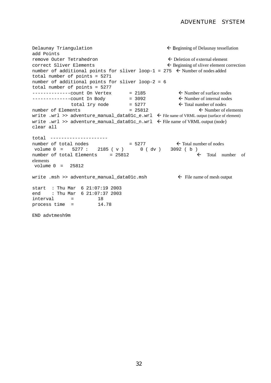```
Delaunay Triangulation \leftarrow Beginning of Delaunay tessellation
add Points
remove Outer Tetrahedron \epsilon Deletion of external element
\epsilon Sliver Elements fluit Beginning of sliver element correction
number of additional points for sliver loop-1 = 275 \leftarrow Number of nodes added
total number of points = 5271
number of additional points for sliver loop-2 = 6
total number of points = 5277
--------------count On Vertex = 2185 < Number of surface nodes<br>-------------count In Body = 3092 < Number of internal nodes
----------count In Body = 3092 \leftarrow Number of internal nodes
              total 1ry node = 5277 \leftarrow Total number of nodes
number of Elements = 25812 \leftarrow Number of elements
write .wrl >> adventure_manual_data01c_e.wrl \epsilon File name of VRML output (surface of element)
write .wrl >> adventure_manual_data01c_n.wrl \leftarrow File name of VRML output (node)
clear all
total ---------------------
number of total nodes = 5277 \leftarrow Total number of nodes
 volume 0 = 5277 : 2185 ( v ) 0 ( dv ) 3092 ( b )
number of total Elements = 25812 \leftarrow Total number of
elements
 volume 0 = 25812
write .msh >> adventure manual data01c.msh \leftarrow File name of mesh output
start : Thu Mar 6 21:07:19 2003
end : Thu Mar 6 21:07:37 2003<br>interval = 18
interval =
process time = 14.78
END advtmesh9m
```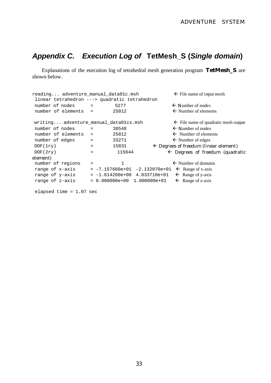## *Appendix C. Execution Log of* **TetMesh\_S (***Single domain***)**

Explanations of the execution log of tetrahedral mesh generation program **TetMesh\_S** are shown below.

```
reading... adventure manual data01c.msh \leftarrow File name of input mesh
 linear tetrahedron ---> quadratic tetrahedron
number of nodes = 5277 \leftarrow Number of nodes
number of elements = 25812 \leftarrow Number of elements
writing... adventure_manual_data01cs.msh \leftarrow File name of quadratic mesh output
number of nodes = 38548 \leftarrow Number of nodes
number of elements = 25812 \leftarrow Number of elements
number of edges = 33271 \leftarrow Number of edges = 15831 \leftarrow Degrees of freedum (line
DOF(1ry) = 15831 \leftarrow Degrees of freedum (linear element)
DOF(2ry) = 115644 \leftarrow Degrees of freedum (quadratic
element)
number of regions = 1 \leftarrow Number of domains
range of x-axis = -7.157660e+01 -2.132070e+01 \leftarrow Range of x-axis
range of y-axis = -1.614200e+00 4.833710e+01 \leftarrow Range of y-axis
range of z-axis = 0.000000e+00 1.000000e+01 \leftarrow Range of z-axis
```
elapsed time = 1.07 sec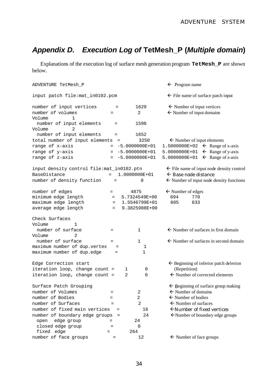## *Appendix D. Execution Log of* **TetMesh\_P (***Multiple domain***)**

Explanations of the execution log of surface mesh generation program **TetMesh\_P** are shown below.

| $\leftarrow$ File name of surface patch input<br>input patch file:mat_in0102.pcm<br>$\leftarrow$ Number of input vertices<br>1629<br>$=$<br>$\leftarrow$ Number of input domains<br>number of volumes<br>2<br>$=$<br>1.<br>number of input elements<br>1598<br>$=$<br>2<br>number of input elements<br>1652<br>$=$<br>total number of input elements<br>$\leftarrow$ Number of input elements<br>3250<br>$=$<br>1.5000000E+02 $\leftarrow$ Range of x-axis<br>$= -5.0000000E+01$<br>5.0000000E+01 $\leftarrow$ Range of y-axis<br>$= -5.0000000E+01$<br>5.0000000E+01 $\leftarrow$ Range of z-axis<br>$= -5.0000000E+01$<br>input density control file: mat_in0102.ptn<br>$\leftarrow$ File name of input node density control<br>$\leftarrow$ Base node distance<br>1.0000000E+01<br>$=$<br>$\leftarrow$ Number of input node density functions<br>0<br>$=$<br>$\leftarrow$ Number of edges<br>4875<br>$=$<br>5.7324549E+00<br>694<br>770<br>$=$ $-$<br>605<br>633<br>$= 1.5546799E+01$<br>9.3825988E+00<br>$=$<br>1<br>$\leftarrow$ Number of surfaces in first domain<br>number of surface<br>$\mathbf{1}$<br>$=$<br>2<br>number of surface<br>$\mathbf{1}$<br>$\leftarrow$ Number of surfaces in second domain<br>$=$<br>maximum number of dup.vertex<br>1<br>$=$<br>$\mathbf 1$<br>$=$<br>$\leftarrow$ Beginning of inferior patch deletion<br>(Repetition)<br>iteration loop, change count =<br>0<br>1<br>$\leftarrow$ Number of corrected elements<br>iteration loop, change count =<br>$\overline{a}$<br>0<br>$\leftarrow$ Beginning of surface group making<br>Surface Patch Grouping<br>$\leftarrow$ Number of domains<br>number of Volumes<br>2<br>$=$<br>$\leftarrow$ Number of bodies<br>number of Bodies<br>2<br>$=$<br>$\leftarrow$ Number of surfaces<br>2<br>$=$<br>number of fixed main vertices<br>$\leftarrow$ Number of fixed vertices<br>16<br>$\quad =$<br>$\leftarrow$ Number of boundary edge groups<br>number of boundary edge groups<br>24<br>edge group<br>24<br>open<br>$=$<br>$\overline{0}$<br>closed edge group<br>$=$<br>fixed edge<br>264<br>$=$ | ADVENTURE TetMesh_P        |  | $\leftarrow$ Program name |
|------------------------------------------------------------------------------------------------------------------------------------------------------------------------------------------------------------------------------------------------------------------------------------------------------------------------------------------------------------------------------------------------------------------------------------------------------------------------------------------------------------------------------------------------------------------------------------------------------------------------------------------------------------------------------------------------------------------------------------------------------------------------------------------------------------------------------------------------------------------------------------------------------------------------------------------------------------------------------------------------------------------------------------------------------------------------------------------------------------------------------------------------------------------------------------------------------------------------------------------------------------------------------------------------------------------------------------------------------------------------------------------------------------------------------------------------------------------------------------------------------------------------------------------------------------------------------------------------------------------------------------------------------------------------------------------------------------------------------------------------------------------------------------------------------------------------------------------------------------------------------------------------------------------------------------------------------------------------------------------------------------------------------------------------------------------------------------|----------------------------|--|---------------------------|
|                                                                                                                                                                                                                                                                                                                                                                                                                                                                                                                                                                                                                                                                                                                                                                                                                                                                                                                                                                                                                                                                                                                                                                                                                                                                                                                                                                                                                                                                                                                                                                                                                                                                                                                                                                                                                                                                                                                                                                                                                                                                                    |                            |  |                           |
|                                                                                                                                                                                                                                                                                                                                                                                                                                                                                                                                                                                                                                                                                                                                                                                                                                                                                                                                                                                                                                                                                                                                                                                                                                                                                                                                                                                                                                                                                                                                                                                                                                                                                                                                                                                                                                                                                                                                                                                                                                                                                    | number of input vertices   |  |                           |
|                                                                                                                                                                                                                                                                                                                                                                                                                                                                                                                                                                                                                                                                                                                                                                                                                                                                                                                                                                                                                                                                                                                                                                                                                                                                                                                                                                                                                                                                                                                                                                                                                                                                                                                                                                                                                                                                                                                                                                                                                                                                                    |                            |  |                           |
|                                                                                                                                                                                                                                                                                                                                                                                                                                                                                                                                                                                                                                                                                                                                                                                                                                                                                                                                                                                                                                                                                                                                                                                                                                                                                                                                                                                                                                                                                                                                                                                                                                                                                                                                                                                                                                                                                                                                                                                                                                                                                    | Volume                     |  |                           |
|                                                                                                                                                                                                                                                                                                                                                                                                                                                                                                                                                                                                                                                                                                                                                                                                                                                                                                                                                                                                                                                                                                                                                                                                                                                                                                                                                                                                                                                                                                                                                                                                                                                                                                                                                                                                                                                                                                                                                                                                                                                                                    |                            |  |                           |
|                                                                                                                                                                                                                                                                                                                                                                                                                                                                                                                                                                                                                                                                                                                                                                                                                                                                                                                                                                                                                                                                                                                                                                                                                                                                                                                                                                                                                                                                                                                                                                                                                                                                                                                                                                                                                                                                                                                                                                                                                                                                                    | Volume                     |  |                           |
|                                                                                                                                                                                                                                                                                                                                                                                                                                                                                                                                                                                                                                                                                                                                                                                                                                                                                                                                                                                                                                                                                                                                                                                                                                                                                                                                                                                                                                                                                                                                                                                                                                                                                                                                                                                                                                                                                                                                                                                                                                                                                    |                            |  |                           |
|                                                                                                                                                                                                                                                                                                                                                                                                                                                                                                                                                                                                                                                                                                                                                                                                                                                                                                                                                                                                                                                                                                                                                                                                                                                                                                                                                                                                                                                                                                                                                                                                                                                                                                                                                                                                                                                                                                                                                                                                                                                                                    |                            |  |                           |
|                                                                                                                                                                                                                                                                                                                                                                                                                                                                                                                                                                                                                                                                                                                                                                                                                                                                                                                                                                                                                                                                                                                                                                                                                                                                                                                                                                                                                                                                                                                                                                                                                                                                                                                                                                                                                                                                                                                                                                                                                                                                                    | range of x-axis            |  |                           |
|                                                                                                                                                                                                                                                                                                                                                                                                                                                                                                                                                                                                                                                                                                                                                                                                                                                                                                                                                                                                                                                                                                                                                                                                                                                                                                                                                                                                                                                                                                                                                                                                                                                                                                                                                                                                                                                                                                                                                                                                                                                                                    | range of y-axis            |  |                           |
|                                                                                                                                                                                                                                                                                                                                                                                                                                                                                                                                                                                                                                                                                                                                                                                                                                                                                                                                                                                                                                                                                                                                                                                                                                                                                                                                                                                                                                                                                                                                                                                                                                                                                                                                                                                                                                                                                                                                                                                                                                                                                    | range of z-axis            |  |                           |
|                                                                                                                                                                                                                                                                                                                                                                                                                                                                                                                                                                                                                                                                                                                                                                                                                                                                                                                                                                                                                                                                                                                                                                                                                                                                                                                                                                                                                                                                                                                                                                                                                                                                                                                                                                                                                                                                                                                                                                                                                                                                                    |                            |  |                           |
|                                                                                                                                                                                                                                                                                                                                                                                                                                                                                                                                                                                                                                                                                                                                                                                                                                                                                                                                                                                                                                                                                                                                                                                                                                                                                                                                                                                                                                                                                                                                                                                                                                                                                                                                                                                                                                                                                                                                                                                                                                                                                    | BaseDistance               |  |                           |
|                                                                                                                                                                                                                                                                                                                                                                                                                                                                                                                                                                                                                                                                                                                                                                                                                                                                                                                                                                                                                                                                                                                                                                                                                                                                                                                                                                                                                                                                                                                                                                                                                                                                                                                                                                                                                                                                                                                                                                                                                                                                                    | number of density function |  |                           |
|                                                                                                                                                                                                                                                                                                                                                                                                                                                                                                                                                                                                                                                                                                                                                                                                                                                                                                                                                                                                                                                                                                                                                                                                                                                                                                                                                                                                                                                                                                                                                                                                                                                                                                                                                                                                                                                                                                                                                                                                                                                                                    | number of edges            |  |                           |
|                                                                                                                                                                                                                                                                                                                                                                                                                                                                                                                                                                                                                                                                                                                                                                                                                                                                                                                                                                                                                                                                                                                                                                                                                                                                                                                                                                                                                                                                                                                                                                                                                                                                                                                                                                                                                                                                                                                                                                                                                                                                                    | minimum edge length        |  |                           |
|                                                                                                                                                                                                                                                                                                                                                                                                                                                                                                                                                                                                                                                                                                                                                                                                                                                                                                                                                                                                                                                                                                                                                                                                                                                                                                                                                                                                                                                                                                                                                                                                                                                                                                                                                                                                                                                                                                                                                                                                                                                                                    | maximum edge length        |  |                           |
|                                                                                                                                                                                                                                                                                                                                                                                                                                                                                                                                                                                                                                                                                                                                                                                                                                                                                                                                                                                                                                                                                                                                                                                                                                                                                                                                                                                                                                                                                                                                                                                                                                                                                                                                                                                                                                                                                                                                                                                                                                                                                    | average edge length        |  |                           |
|                                                                                                                                                                                                                                                                                                                                                                                                                                                                                                                                                                                                                                                                                                                                                                                                                                                                                                                                                                                                                                                                                                                                                                                                                                                                                                                                                                                                                                                                                                                                                                                                                                                                                                                                                                                                                                                                                                                                                                                                                                                                                    | Check Surfaces             |  |                           |
|                                                                                                                                                                                                                                                                                                                                                                                                                                                                                                                                                                                                                                                                                                                                                                                                                                                                                                                                                                                                                                                                                                                                                                                                                                                                                                                                                                                                                                                                                                                                                                                                                                                                                                                                                                                                                                                                                                                                                                                                                                                                                    | Volume                     |  |                           |
|                                                                                                                                                                                                                                                                                                                                                                                                                                                                                                                                                                                                                                                                                                                                                                                                                                                                                                                                                                                                                                                                                                                                                                                                                                                                                                                                                                                                                                                                                                                                                                                                                                                                                                                                                                                                                                                                                                                                                                                                                                                                                    |                            |  |                           |
|                                                                                                                                                                                                                                                                                                                                                                                                                                                                                                                                                                                                                                                                                                                                                                                                                                                                                                                                                                                                                                                                                                                                                                                                                                                                                                                                                                                                                                                                                                                                                                                                                                                                                                                                                                                                                                                                                                                                                                                                                                                                                    | Volume                     |  |                           |
|                                                                                                                                                                                                                                                                                                                                                                                                                                                                                                                                                                                                                                                                                                                                                                                                                                                                                                                                                                                                                                                                                                                                                                                                                                                                                                                                                                                                                                                                                                                                                                                                                                                                                                                                                                                                                                                                                                                                                                                                                                                                                    |                            |  |                           |
|                                                                                                                                                                                                                                                                                                                                                                                                                                                                                                                                                                                                                                                                                                                                                                                                                                                                                                                                                                                                                                                                                                                                                                                                                                                                                                                                                                                                                                                                                                                                                                                                                                                                                                                                                                                                                                                                                                                                                                                                                                                                                    |                            |  |                           |
|                                                                                                                                                                                                                                                                                                                                                                                                                                                                                                                                                                                                                                                                                                                                                                                                                                                                                                                                                                                                                                                                                                                                                                                                                                                                                                                                                                                                                                                                                                                                                                                                                                                                                                                                                                                                                                                                                                                                                                                                                                                                                    | maximum number of dup.edge |  |                           |
|                                                                                                                                                                                                                                                                                                                                                                                                                                                                                                                                                                                                                                                                                                                                                                                                                                                                                                                                                                                                                                                                                                                                                                                                                                                                                                                                                                                                                                                                                                                                                                                                                                                                                                                                                                                                                                                                                                                                                                                                                                                                                    | Edge Correction start      |  |                           |
|                                                                                                                                                                                                                                                                                                                                                                                                                                                                                                                                                                                                                                                                                                                                                                                                                                                                                                                                                                                                                                                                                                                                                                                                                                                                                                                                                                                                                                                                                                                                                                                                                                                                                                                                                                                                                                                                                                                                                                                                                                                                                    |                            |  |                           |
|                                                                                                                                                                                                                                                                                                                                                                                                                                                                                                                                                                                                                                                                                                                                                                                                                                                                                                                                                                                                                                                                                                                                                                                                                                                                                                                                                                                                                                                                                                                                                                                                                                                                                                                                                                                                                                                                                                                                                                                                                                                                                    |                            |  |                           |
|                                                                                                                                                                                                                                                                                                                                                                                                                                                                                                                                                                                                                                                                                                                                                                                                                                                                                                                                                                                                                                                                                                                                                                                                                                                                                                                                                                                                                                                                                                                                                                                                                                                                                                                                                                                                                                                                                                                                                                                                                                                                                    |                            |  |                           |
|                                                                                                                                                                                                                                                                                                                                                                                                                                                                                                                                                                                                                                                                                                                                                                                                                                                                                                                                                                                                                                                                                                                                                                                                                                                                                                                                                                                                                                                                                                                                                                                                                                                                                                                                                                                                                                                                                                                                                                                                                                                                                    |                            |  |                           |
|                                                                                                                                                                                                                                                                                                                                                                                                                                                                                                                                                                                                                                                                                                                                                                                                                                                                                                                                                                                                                                                                                                                                                                                                                                                                                                                                                                                                                                                                                                                                                                                                                                                                                                                                                                                                                                                                                                                                                                                                                                                                                    |                            |  |                           |
|                                                                                                                                                                                                                                                                                                                                                                                                                                                                                                                                                                                                                                                                                                                                                                                                                                                                                                                                                                                                                                                                                                                                                                                                                                                                                                                                                                                                                                                                                                                                                                                                                                                                                                                                                                                                                                                                                                                                                                                                                                                                                    | number of Surfaces         |  |                           |
|                                                                                                                                                                                                                                                                                                                                                                                                                                                                                                                                                                                                                                                                                                                                                                                                                                                                                                                                                                                                                                                                                                                                                                                                                                                                                                                                                                                                                                                                                                                                                                                                                                                                                                                                                                                                                                                                                                                                                                                                                                                                                    |                            |  |                           |
|                                                                                                                                                                                                                                                                                                                                                                                                                                                                                                                                                                                                                                                                                                                                                                                                                                                                                                                                                                                                                                                                                                                                                                                                                                                                                                                                                                                                                                                                                                                                                                                                                                                                                                                                                                                                                                                                                                                                                                                                                                                                                    |                            |  |                           |
|                                                                                                                                                                                                                                                                                                                                                                                                                                                                                                                                                                                                                                                                                                                                                                                                                                                                                                                                                                                                                                                                                                                                                                                                                                                                                                                                                                                                                                                                                                                                                                                                                                                                                                                                                                                                                                                                                                                                                                                                                                                                                    |                            |  |                           |
|                                                                                                                                                                                                                                                                                                                                                                                                                                                                                                                                                                                                                                                                                                                                                                                                                                                                                                                                                                                                                                                                                                                                                                                                                                                                                                                                                                                                                                                                                                                                                                                                                                                                                                                                                                                                                                                                                                                                                                                                                                                                                    |                            |  |                           |
|                                                                                                                                                                                                                                                                                                                                                                                                                                                                                                                                                                                                                                                                                                                                                                                                                                                                                                                                                                                                                                                                                                                                                                                                                                                                                                                                                                                                                                                                                                                                                                                                                                                                                                                                                                                                                                                                                                                                                                                                                                                                                    |                            |  |                           |
| $\leftarrow$ Number of face groups<br>12<br>$=$                                                                                                                                                                                                                                                                                                                                                                                                                                                                                                                                                                                                                                                                                                                                                                                                                                                                                                                                                                                                                                                                                                                                                                                                                                                                                                                                                                                                                                                                                                                                                                                                                                                                                                                                                                                                                                                                                                                                                                                                                                    | number of face groups      |  |                           |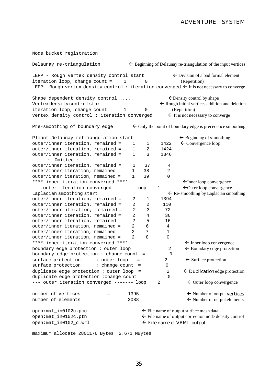Node bucket registration Delaunay re-triangulation  $\leftarrow$  Beginning of Delaunay re-triangulation of the input vertices LEPP - Rough vertex density control start  $\leftarrow$  Division of a bad formal element iteration loop, change count = 1 0 (Repetition) LEPP - Rough vertex density control: iteration converged  $\Leftarrow$  It is not necessary to converge Shape dependent density control  $\dots$ ....  $\leftarrow$  Density control by shape Vertex density control start  $\leftarrow$  Rough initial vertices addition and deletion iteration loop, change count = 1 0 (Repetition) Vertex density control : iteration converged  $\leftarrow$  It is not necessary to converge Pre-smoothing of boundary edge  $\leftarrow$  Only the point of boundary edge is precedence smoothing Pliant Delaunay retriangulation start  $f$  Beginning of smoothing outer/inner iteration, remained =  $1 \t 1 \t 1422 \t \leftarrow$  Convergence loop  $outer/inner iteration, remained = 1 2 1424$  $outer/inner iteration, remained = 1 3 1346$  $\sim$  Omitted  $\sim$ outer/inner iteration, remained = 1 37 4 outer/inner iteration, remained = 1 38 2 outer/inner iteration, remained = 1 39 0 \*\*\*\* inner iteration converged \*\*\*\* flInner loop convergence  $---$  outer iteration converged  $---$ ----- loop 1  $\not\leftarrow$  Outer loop convergence Laplacian smoothing start  $\leftarrow$  Re-smoothing by Laplacian smoothing outer/inner iteration, remained = 2 1 1394 outer/inner iteration, remained = 2 2 110 outer/inner iteration, remained = 2 3 72 outer/inner iteration, remained = 2 4 36 outer/inner iteration, remained = 2 5 16 outer/inner iteration, remained = 2 6 4 outer/inner iteration, remained = 2 7 1 outer/inner iteration, remained = 2 8 0 \*\*\*\* inner iteration converged \*\*\*\* fl inner loop convergence boundary edge protection : outer loop =  $\overline{2}$   $\leftarrow$  Boundary edge protection boundary edge protection : change count = 0 surface protection : outer loop =  $2 \leftarrow$  Surface protection surface protection : change count = 0 duplicate edge protection : outer loop =  $2 \leftarrow$  Duplication edge protection duplicate edge protection : change count = 0 --- outer iteration converged ------- loop 2  $\leftarrow$  Outer loop convergence number of vertices  $=$  1395  $\leftarrow$  Number of output vertices number of elements  $= 3088$   $\leftarrow$  Number of output elements open: mat\_in0102c.pcc **fluorent** File name of output surface mesh data open: mat\_in0102c.ptn flie name of output correction node density control  $open: \text{mat_in0102_c.wr1}$  file name of VRML output maximum allocate 2801176 Bytes 2.671 MBytes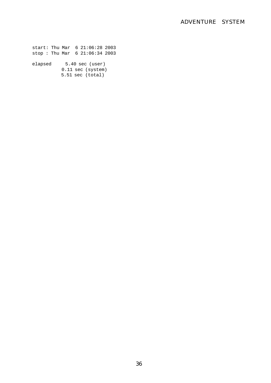start: Thu Mar 6 21:06:28 2003 stop : Thu Mar 6 21:06:34 2003

elapsed 5.40 sec (user) 0.11 sec (system) 5.51 sec (total)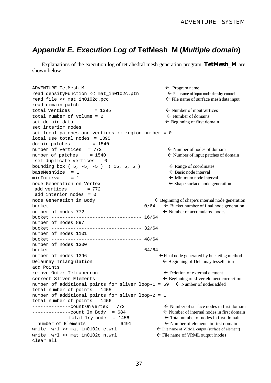## *Appendix E. Execution Log of* **TetMesh\_M (***Multiple domain***)**

Explanations of the execution log of tetrahedral mesh generation program **TetMesh\_M** are shown below.

ADVENTURE TetMesh\_M  $\leftarrow$  Program name read densityFunction <<  $\text{mat}_\text{in0102c.}$ ptn  $\leftarrow$  File name of input node density control read file  $\lt$  mat\_in0102c.pcc  $\lt$  File name of surface mesh data input read domain patch total vertices  $= 1395$   $\leftarrow$  Number of input vertices total number of volume = 2  $\leftarrow$  Number of domains  $\text{set domain data}$   $\leftarrow$  Beginning of first domain set interior nodes set local patches and vertices  $::$  region number = 0 local use total nodes = 1395  $domain$  patches =  $1540$ number of vertices =  $772$   $\leftarrow$  Number of nodes of domain number of patches  $= 1540$   $\leftarrow$  Number of input patches of domain set duplicate vertices = 0 bounding box (  $5, -5, -5$  ) (  $15, 5, 5$  )  $\leftarrow$  Range of coordinates  $b$ aseMeshSize = 1 fl Basic node interval  $minInterval = 1$   $\leftarrow$  Minimum node interval node Generation on Vertex  $\leftarrow$  Shape surface node generation add vertices  $= 772$  add interior nodes = 0 node Generation in Body  $\leftarrow$  Beginning of shape's internal node generation bucket  $--------------------- 0/64 \leftarrow$  Bucket number of final node generation number of nodes  $772$  fl number of accumulated nodes bucket --------------------------------- 16/64 number of nodes 897 bucket --------------------------------- 32/64 number of nodes 1101 bucket --------------------------------- 48/64 number of nodes 1300 bucket --------------------------------- 64/64 number of nodes  $1396$  final node generated by bucketing method Delaunay Triangulation  $\leftarrow$  Beginning of Delaunay tessellation add Points remove Outer Tetrahedron **fluide**  $\epsilon$  Deletion of external element  $\epsilon$  Sliver Elements fl Beginning of sliver element correction number of additional points for sliver loop-1 = 59  $\div$  Number of nodes added total number of points = 1455 number of additional points for sliver loop-2 = 1 total number of points = 1456  $---------count$  On Vertex = 772  $\leftarrow$  Number of surface nodes in first domain  $----------count$  In Body = 684  $\leftarrow$  Number of internal nodes in first domain total 1ry node = 1456  $\leftarrow$  Total number of nodes in first domain number of Elements  $= 6491$   $\leftarrow$  Number of elements in first domain write .wrl >> mat in0102c e.wrl  $\leftarrow$  File name of VRML output (surface of element) write .wrl >> mat\_in0102c\_n.wrl  $\leftarrow$  File name of VRML output (node) clear all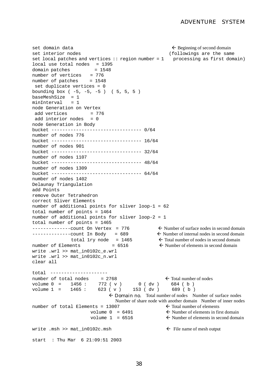```
\epsilon domain data fluid beginning of second domain
set interior nodes and the same of the same (followings are the same
set local patches and vertices :: region number = 1 processing as first domain)
local use total nodes = 1395
domain patches = 1548number of vertices = 776
number of patches = 1548
 set duplicate vertices = 0
bounding box (-5, -5, -5) (5, 5, 5)baseMeshSize = 1
minInterval = 1node Generation on Vertex
add vertices = 776
add interior nodes = 0node Generation in Body
bucket --------------------------------- 0/64
number of nodes 776
bucket --------------------------------- 16/64
number of nodes 901
bucket --------------------------------- 32/64
number of nodes 1107
bucket --------------------------------- 48/64
number of nodes 1309
bucket --------------------------------- 64/64
number of nodes 1402
Delaunay Triangulation
add Points 
remove Outer Tetrahedron 
correct Sliver Elements
number of additional points for sliver loop-1 = 62
total number of points = 1464
number of additional points for sliver loop-2 = 1
total number of points = 1465
---------count On Vertex = 776 \leftarrow Number of surface nodes in second domain
-------------count In Body = 689 \leftarrow Number of internal nodes in second domain<br>total 1ry node = 1465 \leftarrow Total number of nodes in second domain
                                                \leftarrow Total number of nodes in second domain
number of Elements = 6516 \leftarrow Number of elements in second domain
write .wrl >> mat_in0102c_e.wrl
write .wrl >> mat in0102c n.wrl
clear all 
total --------------------- 
number of total nodes = 2768 \leftarrow Total number of nodes
volume 0 = 1456 : 772 (v) 0 (dv) 684 (b)volume 0 = 1456 : 772 ( v ) 0 ( dv ) 684 ( b )<br>volume 1 = 1465 : 623 ( v ) 153 ( dv ) 689 ( b )
                             \epsilon Domain no. Total number of nodes Number of surface nodes
                                 Number of share node with another domain Number of inner nodes
number of total Elements = 13007 \leftarrow Total number of elements
                      volume 0 = 6491 \leftarrow Number of elements in first domain
                      volume 1 = 6516 \leftarrow Number of elements in second domain
write .msh >> mat in0102c.msh \leftarrow File name of mesh output
start : Thu Mar 6 21:09:51 2003
```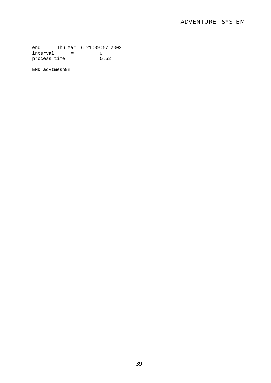end : Thu Mar 6 21:09:57 2003 interval = 6 process time = 5.52

END advtmesh9m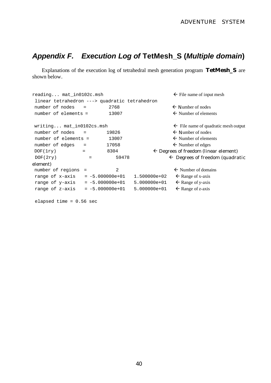## *Appendix F. Execution Log of* **TetMesh\_S (***Multiple domain***)**

Explanations of the execution log of tetrahedral mesh generation program **TetMesh\_S** are shown below.

```
reading... \text{mat}_in0102c.msh \leftarrow File name of input mesh
 linear tetrahedron ---> quadratic tetrahedron
number of nodes = 2768 \leftarrow Number of nodes
number of elements = 13007 \leftarrow Number of elements
writing... mat_in0102cs.msh \leftarrow File name of quadratic mesh output
number of nodes = 19826 \leftarrow Number of nodes
number of elements = 13007 \leftarrow Number of elements
number of edges = 17058 \leftarrow Number of edges
DOF(1ry) = 8304 \leftarrow Degrees of freedom (linear element)
DOF(2ry) = 59478 \leftarrow Degrees of freedom (quadratic
element)
number of regions = 2 \leftarrow Number of domains
range of x-axis = -5.000000e+01 1.500000e+02 \leftarrow Range of x-axis
range of y-axis = -5.000000e+01 5.000000e+01 \leftarrow Range of y-axis
range of z-axis = -5.000000e+01 \leq 5.000000e+01 \leq Range of z-axis
```
elapsed time = 0.56 sec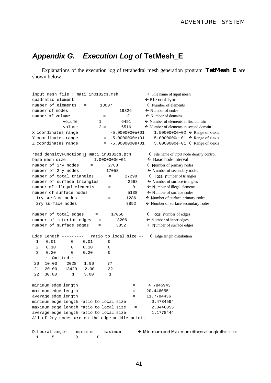## *Appendix G. Execution Log of* **TetMesh\_E**

Explanations of the execution log of tetrahedral mesh generation program **TetMesh\_E** are shown below.

| $\leftarrow$ File name of input mesh<br>input mesh file : mati_in0102cs.msh               |                           |                                                      |  |  |  |  |  |
|-------------------------------------------------------------------------------------------|---------------------------|------------------------------------------------------|--|--|--|--|--|
| quadratic element                                                                         | $\leftarrow$ Element type |                                                      |  |  |  |  |  |
| number of elements                                                                        | 13007                     | $\leftarrow$ Number of elements                      |  |  |  |  |  |
| number of nodes                                                                           | 19826<br>$=$              | $\leftarrow$ Number of nodes                         |  |  |  |  |  |
| number of volume                                                                          | 2<br>$=$                  | $\leftarrow$ Number of domains                       |  |  |  |  |  |
| volume                                                                                    | 6491<br>$1 =$             | $\leftarrow$ Number of elements in first domain      |  |  |  |  |  |
| volume                                                                                    | $2 =$<br>6516             | $\leftarrow$ Number of elements in second domain     |  |  |  |  |  |
| X coordinates range                                                                       | $-5.0000000e+01$<br>$=$   | 1.5000000e+02 $\leftarrow$ Range of x-axis           |  |  |  |  |  |
| Y coordinates range                                                                       | $-5.0000000e+01$<br>$=$   | 5.0000000e+01 $\leftarrow$ Range of x-axis           |  |  |  |  |  |
| Z coordinates range                                                                       | $-5.0000000e+01$<br>$=$   | 5.0000000e+01 $\leftarrow$ Range of x-axis           |  |  |  |  |  |
| read densityFunction                                                                      | mati_in0102cs.ptn         | $\leftarrow$ File name of input node density control |  |  |  |  |  |
| base mesh size<br>$=$                                                                     | 1.0000000e+01             | $\leftarrow$ Basic node interval                     |  |  |  |  |  |
| number of 1ry nodes<br>$\qquad \qquad =$                                                  | 2768                      | $\leftarrow$ Number of primary nodes                 |  |  |  |  |  |
| number of 2ry nodes<br>$\qquad \qquad =$                                                  | 17058                     | $\leftarrow$ Number of secondary nodes               |  |  |  |  |  |
| number of total triangles                                                                 | 27298<br>$=$              | $\leftarrow$ Total number of triangles               |  |  |  |  |  |
| number of surface triangles                                                               | $=$                       | $\leftarrow$ Number of surface triangles<br>2568     |  |  |  |  |  |
| number of illegal elements                                                                | $=$                       | $\leftarrow$ Number of illegal elements<br>0         |  |  |  |  |  |
| number of surface nodes                                                                   | $=$                       | $\leftarrow$ Number of surface nodes<br>5138         |  |  |  |  |  |
| lry surface nodes                                                                         | 1286<br>$=$               | $\leftarrow$ Number of surface primary nodes         |  |  |  |  |  |
| 2ry surface nodes                                                                         | 3852<br>$=$               | $\leftarrow$ Number of surface secondary nodes       |  |  |  |  |  |
| number of total edges<br>$\quad \  \, =\quad$                                             | 17058                     | $\leftarrow$ Total number of edges                   |  |  |  |  |  |
| number of interior edges                                                                  | 13206<br>$\quad =$        | $\leftarrow$ Number of inner edges                   |  |  |  |  |  |
| number of surface edges                                                                   | 3852<br>$=$               | $\leftarrow$ Number of surface edges                 |  |  |  |  |  |
| Edge Length ---------                                                                     | ratio to local size --    | $\leftarrow$ Edge length distribution                |  |  |  |  |  |
| 0.01<br>0.01<br>1<br>0                                                                    | 0                         |                                                      |  |  |  |  |  |
| 2<br>0.10<br>0<br>0.10                                                                    | 0                         |                                                      |  |  |  |  |  |
| 3<br>0.20<br>0.20<br>0                                                                    | 0                         |                                                      |  |  |  |  |  |
| $\sim$ Omitted $\sim$                                                                     |                           |                                                      |  |  |  |  |  |
| 10.00<br>2028<br>1.90<br>20                                                               | 77                        |                                                      |  |  |  |  |  |
| 21<br>20.00<br>13429<br>2.00                                                              | 22                        |                                                      |  |  |  |  |  |
| 22<br>30.00<br>3.00<br>1                                                                  | $\mathbf{1}$              |                                                      |  |  |  |  |  |
| minimum edge length                                                                       |                           | 4.7845943<br>$=$                                     |  |  |  |  |  |
| maximum edge length                                                                       |                           | 20.4460551<br>$=$                                    |  |  |  |  |  |
| average edge length                                                                       |                           | 11.7784436<br>$\qquad \qquad =$                      |  |  |  |  |  |
| minimum edge length ratio to local size                                                   |                           | 0.4784594<br>$=$                                     |  |  |  |  |  |
|                                                                                           |                           |                                                      |  |  |  |  |  |
| maximum edge length ratio to local size                                                   |                           | 2.0446055<br>$=$                                     |  |  |  |  |  |
| average edge length ratio to local size<br>All of 2ry nodes are on the edge middle point. |                           | 1.1778444<br>$=$                                     |  |  |  |  |  |

 $\epsilon$  Minimum and Maximum dihedral angle distribution Dihedral angle -- minimum  $maximum$ <br>1 5 0 0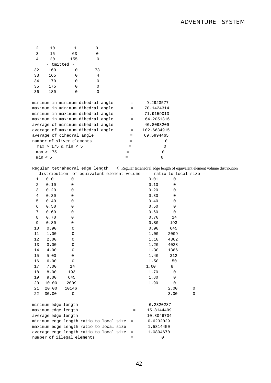| 2              | 10        | 1                          | 0                                            |     |                 |                                                                                                                        |                       |   |  |  |
|----------------|-----------|----------------------------|----------------------------------------------|-----|-----------------|------------------------------------------------------------------------------------------------------------------------|-----------------------|---|--|--|
| 3              | 15        | 63                         | 0                                            |     |                 |                                                                                                                        |                       |   |  |  |
| 4              | 20        | 155                        | 0                                            |     |                 |                                                                                                                        |                       |   |  |  |
|                |           | $\sim$ Omitted $\sim$      |                                              |     |                 |                                                                                                                        |                       |   |  |  |
| 32             | 160       | 0                          | 73                                           |     |                 |                                                                                                                        |                       |   |  |  |
| 33             | 165       | 0                          | 4                                            |     |                 |                                                                                                                        |                       |   |  |  |
| 34             | 170       | 0                          | 0                                            |     |                 |                                                                                                                        |                       |   |  |  |
| 35             | 175       | 0                          | 0                                            |     |                 |                                                                                                                        |                       |   |  |  |
| 36             | 180       | 0                          | 0                                            |     |                 |                                                                                                                        |                       |   |  |  |
|                |           |                            | minimum in minimum dihedral angle            |     | $=$             | 9.2923577                                                                                                              |                       |   |  |  |
|                |           |                            | maximum in minimum dihedral angle            |     | $=$             | 70.1424314                                                                                                             |                       |   |  |  |
|                |           |                            | minimum in maximum dihedral angle            |     | $=$             | 71.9159013                                                                                                             |                       |   |  |  |
|                |           |                            | maximum in maximum dihedral angle            |     | $=$             | 164.2051316                                                                                                            |                       |   |  |  |
|                |           |                            | average of minimum dihedral angle            |     | $=$             | 46.8098209                                                                                                             |                       |   |  |  |
|                |           |                            | average of maximum dihedral angle            |     | $=$             | 102.6634915                                                                                                            |                       |   |  |  |
|                |           | average of dihedral angle  |                                              |     | =               | 69.5994465                                                                                                             |                       |   |  |  |
|                |           | number of sliver elements  |                                              |     | $=$             |                                                                                                                        | 0                     |   |  |  |
|                |           | $max > 175$ & min < 5      |                                              |     | $=$             |                                                                                                                        | 0                     |   |  |  |
|                | max > 175 |                            |                                              |     | =               | 0                                                                                                                      |                       |   |  |  |
|                | min < 5   |                            |                                              | $=$ |                 | 0                                                                                                                      |                       |   |  |  |
|                |           |                            |                                              |     |                 |                                                                                                                        |                       |   |  |  |
|                |           |                            |                                              |     |                 | Regular tetrahedral edge length $\leftarrow$ Regular tetrahedral edge length of equivalent element volume distribution |                       |   |  |  |
|                |           |                            | distribution of equivalent element volume -- |     |                 |                                                                                                                        | ratio to local size - |   |  |  |
| 1              | 0.01      | 0                          |                                              |     |                 | 0.01                                                                                                                   | 0                     |   |  |  |
| 2              | 0.10      | 0                          |                                              |     |                 | 0.10                                                                                                                   | 0                     |   |  |  |
| 3              | 0.20      | 0                          |                                              |     |                 | 0.20                                                                                                                   | 0                     |   |  |  |
| $\overline{4}$ | 0.30      | 0                          |                                              |     |                 | 0.30                                                                                                                   | 0                     |   |  |  |
| 5              | 0.40      | 0                          |                                              |     |                 | 0.40                                                                                                                   | 0                     |   |  |  |
| 6              | 0.50      | 0                          |                                              |     |                 | 0.50                                                                                                                   | 0                     |   |  |  |
| 7              | 0.60      | 0                          |                                              |     |                 | 0.60                                                                                                                   | 0                     |   |  |  |
| 8              | 0.70      | 0                          |                                              |     |                 | 0.70                                                                                                                   | 14                    |   |  |  |
| 9              | 0.80      | 0                          |                                              |     |                 | 0.80                                                                                                                   | 193                   |   |  |  |
| 10             | 0.90      | 0                          |                                              |     |                 | 0.90                                                                                                                   | 645                   |   |  |  |
| 11             | 1.00      | 0                          |                                              |     |                 | 1.00                                                                                                                   | 2009                  |   |  |  |
| 12             | 2.00      | 0                          |                                              |     |                 | 1.10                                                                                                                   | 4362                  |   |  |  |
| 13             | 3.00      | 0                          |                                              |     |                 | 1.20                                                                                                                   | 4028                  |   |  |  |
| 14             | 4.00      | 0                          |                                              |     |                 | 1.30                                                                                                                   | 1386                  |   |  |  |
| 15             | 5.00      | 0                          |                                              |     |                 | 1.40                                                                                                                   | 312                   |   |  |  |
| 16             | 6.00      | 0                          |                                              |     |                 | 1.50                                                                                                                   | 50                    |   |  |  |
| 17             | 7.00      | 14                         |                                              |     |                 | 1.60                                                                                                                   | 8                     |   |  |  |
| 18             | 8.00      | 193                        |                                              |     |                 | 1.70                                                                                                                   | 0                     |   |  |  |
| 19             | 9.00      | 645                        |                                              |     |                 | 1.80                                                                                                                   | $\mathbf 0$           |   |  |  |
| 20             | 10.00     | 2009                       |                                              |     |                 | 1.90                                                                                                                   | 0                     |   |  |  |
| 21             | 20.00     | 10146                      |                                              |     |                 |                                                                                                                        | 2.00                  | 0 |  |  |
| 22             | 30.00     | 0                          |                                              |     |                 |                                                                                                                        | 3.00                  | 0 |  |  |
|                |           | minimum edge length        |                                              |     | $=$             | 6.2320287                                                                                                              |                       |   |  |  |
|                |           | maximum edge length        |                                              |     | $=$             | 15.8144499                                                                                                             |                       |   |  |  |
|                |           | average edge length        |                                              |     | $=$             | 10.8046704                                                                                                             |                       |   |  |  |
|                |           |                            | minimum edge length ratio to local size      |     | $\quad \  \  =$ | 0.6232029                                                                                                              |                       |   |  |  |
|                |           |                            | maximum edge length ratio to local size      |     | $\quad \  \  =$ | 1.5814450                                                                                                              |                       |   |  |  |
|                |           |                            | average edge length ratio to local size      |     | $\equiv$        | 1.0804670                                                                                                              |                       |   |  |  |
|                |           | number of illegal elements |                                              |     | $=$             | 0                                                                                                                      |                       |   |  |  |
|                |           |                            |                                              |     |                 |                                                                                                                        |                       |   |  |  |